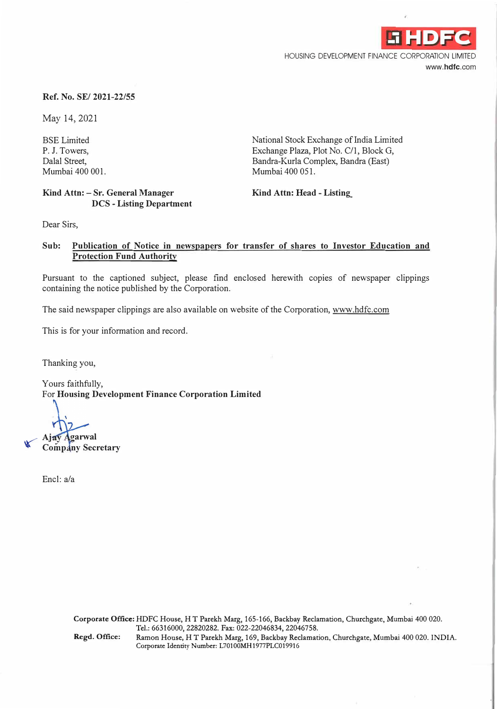

HOUSING DEVELOPMENT FINANCE CORPORATION LIMITED www.hdfc.com

#### **Ref. No. SE/ 2021-22/55**

May 14, 2021

BSE Limited P. J. Towers, Dalal Street, Mumbai 400 001.

#### **Kind Attn: - Sr. General Manager DCS - Listing Department**

National Stock Exchange of India Limited Exchange Plaza, Plot No. C/1, Block G, Bandra-Kurla Complex, Bandra (East) Mumbai 400 051.

**Kind Attn: Head - Listing\_** 

Dear Sirs,

### **Sub: Publication of Notice in newspapers for transfer of shares to Investor Education and Protection Fund Authority**

Pursuant to the captioned subject, please find enclosed herewith copies of newspaper clippings containing the notice published by the Corporation.

The said newspaper clippings are also available on website of the Corporation, www.hdfc.com

This is for your information and record.

Thanking you,

Yours faithfully, For **Housing Development Finance Corporation Limited** 

**Aj oarwal** *<"* **Comp ny Secretary** 

Encl: a/a

**Corporate Office:** HDFC House, HT Parekh Marg, 165-166, Backbay Reclamation, Churchgate, Mumbai 400 020. Tel.: 66316000, 22820282. Fax: 022-22046834, 22046758. Regd. Office: Ramon House, HT Parekh Marg, 169, Backbay Reclamation, Churchgate, Mumbai 400 020. INDIA. Corporate Identity Number: L70100MH1977PLC019916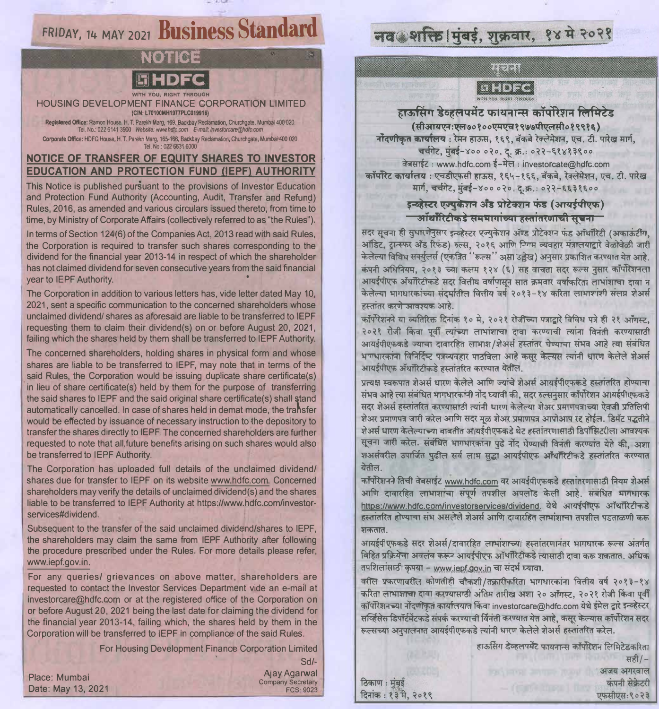## FRIDAY, 14 MAY 2021 Business Standard

# Noties

HOUSING DEVELOPMENT FINANCE CORPORATION LIMITED (CIN: 170100MH1977PLC019916)

Registered Office: Ramon House, H. T. Parekh Marg, 169, Backbay Reclamation, Churchgate, Mumbai 400 020. Tel. No.: 022 6141 3900 Website: www.hdfc.com E-mail: investorcare@hdfc.com Corporate Office: HDFC House, H. T. Parekh Marg, 165-166, Backbay Reclamation, Churchgate, Mumbai 400 020.

#### NOTICE OF TRANSFER OF EQUITY SHARES TO INVESTOR EDUCATION AND PROTECTION FUND (IEPF) AUTHORITY

This Notice is published pursuant to the provisions of Investor Education and Protection Fund Authority (Accounting, Audit, Transfer and Refund) Rules, 2016, as amended and various circulars issued thereto, from time to time, by Ministry of Corporate Affairs (collectively referred to as "the Rules").

In terms of Section 124(6) of the Companies Act, 2013 read with said Rules, the Corporation is required to transfer such shares corresponding to the dividend for the financial year 2013-14 in respect of which the shareholder has not claimed dividend for seven consecutive years from the said financial year to IEPF Authority.

The Corporation in addition to various letters has, vide letter dated May 10, 2021, sent a specific communication to the concerned shareholders whose unclaimed dividend/ shares as aforesaid are liable to be transferred to IEPF requesting them to claim their dividend(s) on or before August 20, 2021. failing which the shares held by them shall be transferred to IEPF Authority.

The concerned shareholders, holding shares in physical form and whose shares are liable to be transferred to IEPF, may note that in terms of the said Rules, the Corporation would be issuing duplicate share certificate(s) in lieu of share certificate(s) held by them for the purpose of transferring the said shares to IEPF and the said original share certificate(s) shall stand automatically cancelled. In case of shares held in demat mode, the transfer would be effected by issuance of necessary instruction to the depository to transfer the shares directly to IEPF. The concerned shareholders are further requested to note that all future benefits arising on such shares would also be transferred to IEPF Authority.

The Corporation has uploaded full details of the unclaimed dividend/ shares due for transfer to IEPF on its website www.hdfc.com. Concerned shareholders may verify the details of unclaimed dividend(s) and the shares liable to be transferred to IEPF Authority at https://www.hdfc.com/investorservices#dividend.

Subsequent to the transfer of the said unclaimed dividend/shares to IEPF. the shareholders may claim the same from IEPF Authority after following the procedure prescribed under the Rules. For more details please refer, www.iepf.gov.in.

For any queries/ grievances on above matter, shareholders are requested to contact the Investor Services Department vide an e-mail at investorcare@hdfc.com or at the registered office of the Corporation on or before August 20, 2021 being the last date for claiming the dividend for the financial year 2013-14, failing which, the shares held by them in the Corporation will be transferred to IEPF in compliance of the said Rules.

For Housing Development Finance Corporation Limited

Place: Mumbai Date: May 13, 2021

 $Sd$ **Ajay Agarwal Company Secretary FCS: 9023** 

ठिकाण : मुंबई

## नव शक्ति । मुंबई, शुक्रवार, १४ मे २०२१

88258

## **Filel** 19

हाऊसिंग डेव्हलपमेंट फायनान्स कॉर्पोरेशन लिमिटेड (सीआयएन:एल७०१००एमएच१९७७पीएलसी०१९९१६) नोंदणीकृत कार्यालय: रेमन हाऊस, १६९, बॅकबे रेक्लेमेशन, एच. टी. पारेख मार्ग, चर्चगेट, मुंबई-४०० ०२०. द. क्र.: ०२२-६१४१३९०० वेबसाईट: www.hdfc.com ई-मेल: investorcate@hdfc.com कॉर्पोरेट कार्यालय : एचडीएफसी हाऊस. १६५-१६६. बॅकबे. रेक्लेमेशन. एच. टी. पारेख मार्ग, चर्चगेट, मुंबई-४०००२०. दू.क्र.: ०२२-६६३१६००

#### डन्क्रेस्टर एज्यकेशन अँड प्रोटेक्शन फंड (आयर्डपीएफ) ऑर्थॉरिटीकडे समभागांच्या हस्तांतरणाची सूचना

सदर सूचना ही सुधारणेनुसार इन्व्हेस्टर एज्यकेशन ॲण्ड प्रोटेक्शन फंड ऑथॉरिटी (अकाऊंटींग, ऑडिट, ट्रान्स्फर अँड रिफंड) रूल्स, २०१६ आणि निगम व्यवहार मंत्रालयाद्वारे वेळोवेळी जारी केलेल्या विविध सर्क्युलर्स (एकत्रित ''रूल्स'' असा उल्लेख) अनुसार प्रकाशित करण्यात येत आहे. कंपनी अधिनियम, २०१३ च्या कलम १२४ (६) सह वाचता सदर रूल्स नुसार कॉर्पोरेशनता आयईपीएफ अँथॉरिटीकडे सदर वितीय वर्षापासून सात क्रमवार वर्षाकरिता लाभांशाचा दावा न केलेल्या भागधारकांच्या संदर्भातील वित्तीय वर्ष २०१३-१४ करिता लाभाशांशी संलग्न शेअर्स हस्तांतर करणे आवश्यक आहे.

कॉर्पोरेशनने या व्यतिरिक्त दिनांक १० मे. २०२१ रोजीच्या पत्राद्वारे विविध पत्रे ही २१ ऑगस्ट. २०२१ रोजी किंवा पूर्वी त्यांच्या लाभांशाचा दावा करण्याची त्यांना विनंती करण्यासाठी आयईपीएफकडे ज्याचा दावारहित लाभाश/शेअर्स हस्तांतर घेण्याचा संभव आहे त्या संबंधित भगधारकांना विनिर्दिष्ट पत्रव्यवहार पाठविला आहे कसर केल्यस त्यांनी धारण केलेले शेअर्स आयईपीएफ ॲथॉरिटीकडे हस्तांतरित करण्यात येतील.

प्रत्यक्ष स्वरूपात शेअर्स धारण केलेले आणि ज्यांचे शेअर्स आयर्ईपीएफकडे हस्तांतरित होण्याचा संभव आहे त्या संबंधित भागधारकांनी नोंद घ्यावी की, सदर रुल्सनुसार कॉर्पोरेशन आयईपीएफकडे सदर शेअर्स हस्तांतरित करण्यासाठी त्यांनी धारण केलेल्या शेअर प्रमाणपत्राच्या ऐवजी प्रतिलिपी शेअर प्रमाणपत्र जारी करेल आणि सदर मूळ शेअर प्रमाणपत्र आपोआप रह होईल. डिमॅट पद्धतीने शेअर्स धारण केलेल्याच्या बाबतीत आयर्डपीएफकडे थेट हस्तांतरणासाठी डिपॉझिटरीला आवश्यक सूचना जारी करेल. संबंधित भागधारकांना पुढे नोंद घेण्याची विनंती करण्यांत येते की, अशा शअर्सवरील उपार्जित पुढील सर्व लाभ सुद्धा आयईपीएफ आँथॉरिटीकडे हस्तांतरित करण्यात येतील

कॉर्पोरेशनने तिची वेबसाईट www.hdfc.com वर आयईपीएफकडे हस्तांतरणासाठी नियम शेअर्स आणि दावारहित लाभाशांचा संपूर्ण तपशील अपलोड केली आहे. संबंधित भागधारक https://www.hdfc.com/investorservices/dividend. येथे आयईपीएफ ऑधॉरिटीकडे हस्तांतरित होण्याचा संभ असलेले शेअर्स आणि दावारहित लाभांशाचा तपशील पडताळणी करू शकतात.

आयईपीएफकडे सदर शेअर्स/दावारहित लाभांशाच्या हस्तांतरणानंतर भागधारक रूल्स अंतर्गत विहित प्रक्रियेचा अवलंब करून आयईपीएफ ऑथॉरिटीकडे त्यासाठी दावा करू शकतात. अधिक तपशिलांसाठी कृपया - www.iepf.gov.in चा संदर्भ घ्यावा.

वरील प्रकरणावरीत कोणतीही चौकशी/तक्रारीकरिता भागधारकांना वित्तीय वर्ष २०१३-१४ करिता लाभाशाचा दावा करण्यासाठी अंतिम तारीख अशा २० ऑगस्ट, २०२१ रोजी किंवा पूर्वी कॉपोरेशनच्या नोंदणकित कार्यालयात किंवा investorcare@hdfc.com येथे ईमेल द्वारे इन्व्हेस्टर सर्व्हिसेस डिपॉर्टमेंटकडे संपर्क करण्याची विनंती करण्यात येत आहे, कसूर केल्यास कॉर्पोरेशन सदर रूल्सच्या अनपालनात आयर्डपीएफकडे त्यांनी धारण केलेले शेअर्स हस्तांतरित करेल.

हाऊसिंग डेव्हलपमेंट फायनान्स कॉर्पोरेशन लिमिटेडकरिता सही $/ -$ अजय अगरवाल कंपनी सेक्रेटरी दिनांक: १३ मे. २०१९ एफसीएस:९०२३